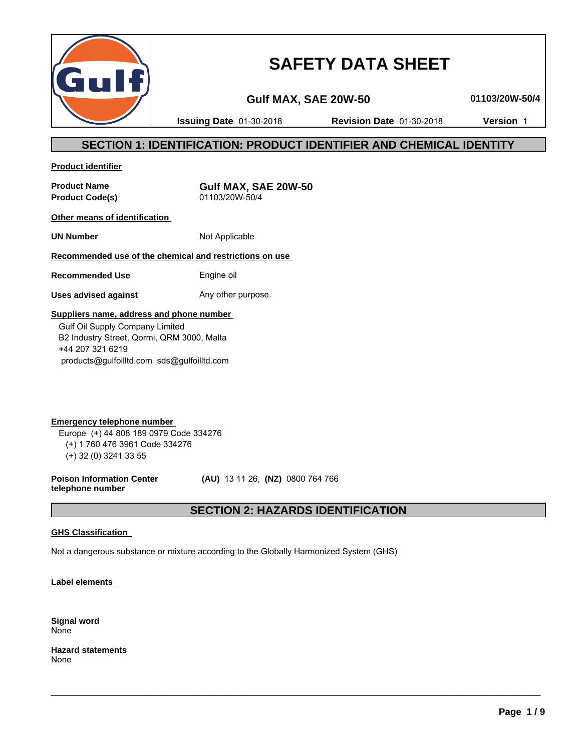

# **SAFETY DATA SHEET**

**Gulf MAX, SAE 20W-50 01103/20W-50/4**

**Issuing Date** 01-30-2018 **Revision Date** 01-30-2018 **Version** 1

# **SECTION 1: IDENTIFICATION: PRODUCT IDENTIFIER AND CHEMICAL IDENTITY**

**Product identifier**

**Product Code(s)** 

**Product Name**<br>**Product Code(s) COVID-01103/20W-50/4**<br>01103/20W-50/4

**Other means of identification** 

**UN Number** Not Applicable

# **Recommended use of the chemical and restrictions on use**

**Recommended Use** Engine oil

**Uses advised against** Any other purpose.

## **Suppliers name, address and phone number**

 Gulf Oil Supply Company Limited B2 Industry Street, Qormi, QRM 3000, Malta +44 207 321 6219 products@gulfoilltd.com sds@gulfoilltd.com

**Emergency telephone number**  Europe (+) 44 808 189 0979 Code 334276 (+) 1 760 476 3961 Code 334276 (+) 32 (0) 3241 33 55

**Poison Information Center telephone number**

 **(AU)** 13 11 26, **(NZ)** 0800 764 766

# **SECTION 2: HAZARDS IDENTIFICATION**

 $\_$  ,  $\_$  ,  $\_$  ,  $\_$  ,  $\_$  ,  $\_$  ,  $\_$  ,  $\_$  ,  $\_$  ,  $\_$  ,  $\_$  ,  $\_$  ,  $\_$  ,  $\_$  ,  $\_$  ,  $\_$  ,  $\_$  ,  $\_$  ,  $\_$  ,  $\_$  ,  $\_$  ,  $\_$  ,  $\_$  ,  $\_$  ,  $\_$  ,  $\_$  ,  $\_$  ,  $\_$  ,  $\_$  ,  $\_$  ,  $\_$  ,  $\_$  ,  $\_$  ,  $\_$  ,  $\_$  ,  $\_$  ,  $\_$  ,

# **GHS Classification**

Not a dangerous substance or mixture according to the Globally Harmonized System (GHS)

**Label elements** 

**Signal word** None

**Hazard statements** None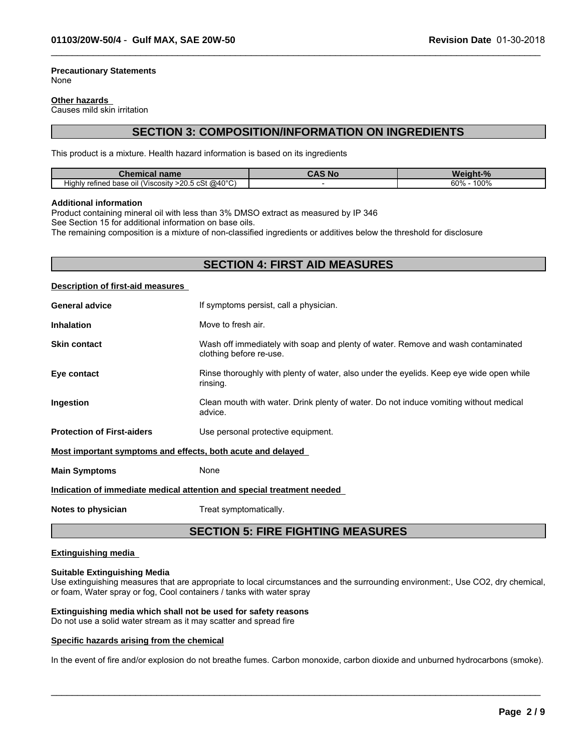#### **Precautionary Statements** None

#### **Other hazards**

Causes mild skin irritation

# **SECTION 3: COMPOSITION/INFORMATION ON INGREDIENTS**

 $\_$  ,  $\_$  ,  $\_$  ,  $\_$  ,  $\_$  ,  $\_$  ,  $\_$  ,  $\_$  ,  $\_$  ,  $\_$  ,  $\_$  ,  $\_$  ,  $\_$  ,  $\_$  ,  $\_$  ,  $\_$  ,  $\_$  ,  $\_$  ,  $\_$  ,  $\_$  ,  $\_$  ,  $\_$  ,  $\_$  ,  $\_$  ,  $\_$  ,  $\_$  ,  $\_$  ,  $\_$  ,  $\_$  ,  $\_$  ,  $\_$  ,  $\_$  ,  $\_$  ,  $\_$  ,  $\_$  ,  $\_$  ,  $\_$  ,

This product is a mixture. Health hazard information is based on its ingredients

| ----<br>name<br>Chen<br>шсаг                                             | , Nc | <b>n</b>                  |
|--------------------------------------------------------------------------|------|---------------------------|
| $>$ 20.5 cSt @40°C)<br>- -<br>refined base<br>oil (Viscosity ؛<br>Hiahlv |      | 100%<br>60%<br>$v_{\ell}$ |

#### **Additional information**

Product containing mineral oil with less than 3% DMSO extract as measured by IP 346

See Section 15 for additional information on base oils.

The remaining composition is a mixture of non-classified ingredients or additives below the threshold for disclosure

# **SECTION 4: FIRST AID MEASURES**

#### **Description of first-aid measures**

| <b>General advice</b>                                                  | If symptoms persist, call a physician.                                                                      |  |
|------------------------------------------------------------------------|-------------------------------------------------------------------------------------------------------------|--|
| <b>Inhalation</b>                                                      | Move to fresh air.                                                                                          |  |
| <b>Skin contact</b>                                                    | Wash off immediately with soap and plenty of water. Remove and wash contaminated<br>clothing before re-use. |  |
| Eye contact                                                            | Rinse thoroughly with plenty of water, also under the eyelids. Keep eye wide open while<br>rinsing.         |  |
| Ingestion                                                              | Clean mouth with water. Drink plenty of water. Do not induce vomiting without medical<br>advice.            |  |
| <b>Protection of First-aiders</b>                                      | Use personal protective equipment.                                                                          |  |
| Most important symptoms and effects, both acute and delayed            |                                                                                                             |  |
| <b>Main Symptoms</b>                                                   | None                                                                                                        |  |
| Indication of immediate medical attention and special treatment needed |                                                                                                             |  |

**Notes to physician** Treat symptomatically.

# **SECTION 5: FIRE FIGHTING MEASURES**

#### **Extinguishing media**

#### **Suitable Extinguishing Media**

Use extinguishing measures that are appropriate to local circumstances and the surrounding environment:, Use CO2, dry chemical, or foam, Water spray or fog, Cool containers / tanks with water spray

### **Extinguishing media which shall not be used for safety reasons**

Do not use a solid water stream as it may scatter and spread fire

#### **Specific hazards arising from the chemical**

In the event of fire and/or explosion do not breathe fumes. Carbon monoxide, carbon dioxide and unburned hydrocarbons (smoke).

 $\_$  ,  $\_$  ,  $\_$  ,  $\_$  ,  $\_$  ,  $\_$  ,  $\_$  ,  $\_$  ,  $\_$  ,  $\_$  ,  $\_$  ,  $\_$  ,  $\_$  ,  $\_$  ,  $\_$  ,  $\_$  ,  $\_$  ,  $\_$  ,  $\_$  ,  $\_$  ,  $\_$  ,  $\_$  ,  $\_$  ,  $\_$  ,  $\_$  ,  $\_$  ,  $\_$  ,  $\_$  ,  $\_$  ,  $\_$  ,  $\_$  ,  $\_$  ,  $\_$  ,  $\_$  ,  $\_$  ,  $\_$  ,  $\_$  ,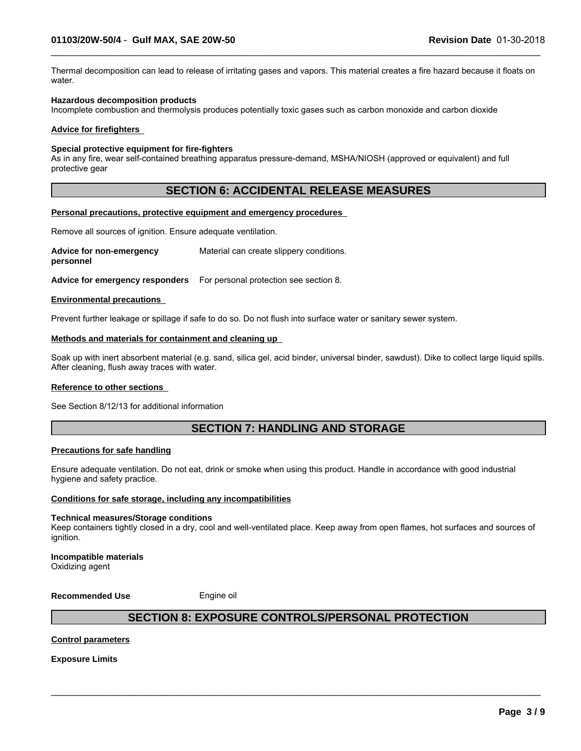Thermal decomposition can lead to release of irritating gases and vapors. This material creates a fire hazard because it floats on water.

 $\_$  ,  $\_$  ,  $\_$  ,  $\_$  ,  $\_$  ,  $\_$  ,  $\_$  ,  $\_$  ,  $\_$  ,  $\_$  ,  $\_$  ,  $\_$  ,  $\_$  ,  $\_$  ,  $\_$  ,  $\_$  ,  $\_$  ,  $\_$  ,  $\_$  ,  $\_$  ,  $\_$  ,  $\_$  ,  $\_$  ,  $\_$  ,  $\_$  ,  $\_$  ,  $\_$  ,  $\_$  ,  $\_$  ,  $\_$  ,  $\_$  ,  $\_$  ,  $\_$  ,  $\_$  ,  $\_$  ,  $\_$  ,  $\_$  ,

#### **Hazardous decomposition products**

Incomplete combustion and thermolysis produces potentially toxic gases such as carbon monoxide and carbon dioxide

#### **Advice for firefighters**

#### **Special protective equipment for fire-fighters**

As in any fire, wear self-contained breathing apparatus pressure-demand, MSHA/NIOSH (approved or equivalent) and full protective gear

# **SECTION 6: ACCIDENTAL RELEASE MEASURES**

#### **Personal precautions, protective equipment and emergency procedures**

Remove all sources of ignition. Ensure adequate ventilation.

**Advice for non-emergency personnel** Material can create slippery conditions.

**Advice for emergency responders** For personal protection see section 8.

#### **Environmental precautions**

Prevent further leakage or spillage if safe to do so. Do not flush into surface water or sanitary sewer system.

#### **Methods and materials for containment and cleaning up**

Soak up with inert absorbent material (e.g. sand, silica gel, acid binder, universal binder, sawdust). Dike to collect large liquid spills. After cleaning, flush away traces with water.

#### **Reference to other sections**

See Section 8/12/13 for additional information

# **SECTION 7: HANDLING AND STORAGE**

#### **Precautions for safe handling**

Ensure adequate ventilation. Do not eat, drink or smoke when using this product. Handle in accordance with good industrial hygiene and safety practice.

#### **Conditions for safe storage, including any incompatibilities**

#### **Technical measures/Storage conditions**

Keep containers tightly closed in a dry, cool and well-ventilated place. Keep away from open flames, hot surfaces and sources of ignition.

#### **Incompatible materials** Oxidizing agent

**Recommended Use** Engine oil

# **SECTION 8: EXPOSURE CONTROLS/PERSONAL PROTECTION**

 $\_$  ,  $\_$  ,  $\_$  ,  $\_$  ,  $\_$  ,  $\_$  ,  $\_$  ,  $\_$  ,  $\_$  ,  $\_$  ,  $\_$  ,  $\_$  ,  $\_$  ,  $\_$  ,  $\_$  ,  $\_$  ,  $\_$  ,  $\_$  ,  $\_$  ,  $\_$  ,  $\_$  ,  $\_$  ,  $\_$  ,  $\_$  ,  $\_$  ,  $\_$  ,  $\_$  ,  $\_$  ,  $\_$  ,  $\_$  ,  $\_$  ,  $\_$  ,  $\_$  ,  $\_$  ,  $\_$  ,  $\_$  ,  $\_$  ,

#### **Control parameters**

**Exposure Limits**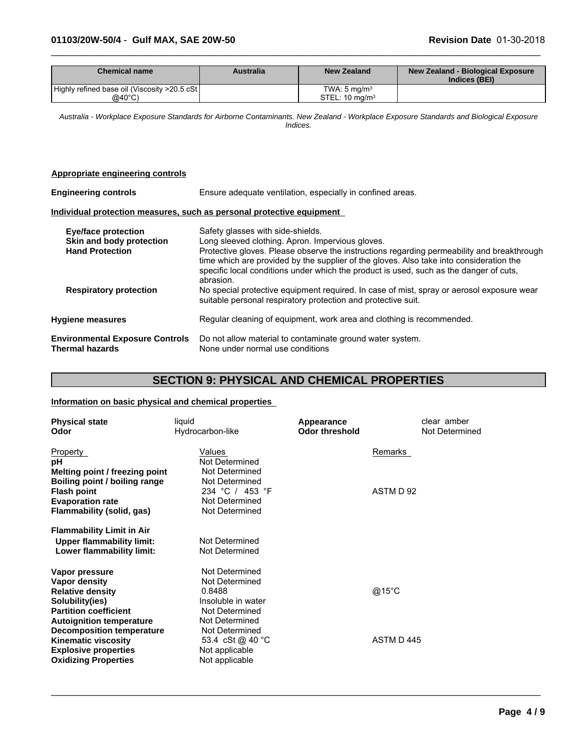| <b>Chemical name</b>                          | <b>Australia</b> | <b>New Zealand</b>      | New Zealand - Biological Exposure<br>Indices (BEI) |
|-----------------------------------------------|------------------|-------------------------|----------------------------------------------------|
| Highly refined base oil (Viscosity >20.5 cSt) |                  | TWA: $5 \text{ ma/m}^3$ |                                                    |
| $@40^{\circ}$ C)                              |                  | $STEL: 10$ mg/m $3$     |                                                    |

 $\_$  ,  $\_$  ,  $\_$  ,  $\_$  ,  $\_$  ,  $\_$  ,  $\_$  ,  $\_$  ,  $\_$  ,  $\_$  ,  $\_$  ,  $\_$  ,  $\_$  ,  $\_$  ,  $\_$  ,  $\_$  ,  $\_$  ,  $\_$  ,  $\_$  ,  $\_$  ,  $\_$  ,  $\_$  ,  $\_$  ,  $\_$  ,  $\_$  ,  $\_$  ,  $\_$  ,  $\_$  ,  $\_$  ,  $\_$  ,  $\_$  ,  $\_$  ,  $\_$  ,  $\_$  ,  $\_$  ,  $\_$  ,  $\_$  ,

*Australia - Workplace Exposure Standards for Airborne Contaminants. New Zealand - Workplace Exposure Standards and Biological Exposure Indices.*

#### **Appropriate engineering controls**

| <b>Engineering controls</b><br>Ensure adequate ventilation, especially in confined areas. |                                                                                                                                                                                                                                                                                              |
|-------------------------------------------------------------------------------------------|----------------------------------------------------------------------------------------------------------------------------------------------------------------------------------------------------------------------------------------------------------------------------------------------|
|                                                                                           | Individual protection measures, such as personal protective equipment                                                                                                                                                                                                                        |
| <b>Eye/face protection</b><br>Skin and body protection                                    | Safety glasses with side-shields.<br>Long sleeved clothing. Apron. Impervious gloves.                                                                                                                                                                                                        |
| <b>Hand Protection</b>                                                                    | Protective gloves. Please observe the instructions regarding permeability and breakthrough<br>time which are provided by the supplier of the gloves. Also take into consideration the<br>specific local conditions under which the product is used, such as the danger of cuts,<br>abrasion. |
| <b>Respiratory protection</b>                                                             | No special protective equipment required. In case of mist, spray or aerosol exposure wear<br>suitable personal respiratory protection and protective suit.                                                                                                                                   |
| <b>Hygiene measures</b>                                                                   | Regular cleaning of equipment, work area and clothing is recommended.                                                                                                                                                                                                                        |
| <b>Environmental Exposure Controls</b><br>Thermal hazards                                 | Do not allow material to contaminate ground water system.<br>None under normal use conditions                                                                                                                                                                                                |

# **SECTION 9: PHYSICAL AND CHEMICAL PROPERTIES**

 $\_$  ,  $\_$  ,  $\_$  ,  $\_$  ,  $\_$  ,  $\_$  ,  $\_$  ,  $\_$  ,  $\_$  ,  $\_$  ,  $\_$  ,  $\_$  ,  $\_$  ,  $\_$  ,  $\_$  ,  $\_$  ,  $\_$  ,  $\_$  ,  $\_$  ,  $\_$  ,  $\_$  ,  $\_$  ,  $\_$  ,  $\_$  ,  $\_$  ,  $\_$  ,  $\_$  ,  $\_$  ,  $\_$  ,  $\_$  ,  $\_$  ,  $\_$  ,  $\_$  ,  $\_$  ,  $\_$  ,  $\_$  ,  $\_$  ,

## **Information on basic physical and chemical properties**

| <b>Physical state</b><br>Odor                                                                                                                    | liquid<br>Hydrocarbon-like                                                                           | Appearance<br><b>Odor threshold</b> | clear amber<br>Not Determined |
|--------------------------------------------------------------------------------------------------------------------------------------------------|------------------------------------------------------------------------------------------------------|-------------------------------------|-------------------------------|
| Property<br>рH<br>Melting point / freezing point                                                                                                 | Values<br>Not Determined<br>Not Determined                                                           | Remarks                             |                               |
| Boiling point / boiling range<br><b>Flash point</b><br><b>Evaporation rate</b><br>Flammability (solid, gas)                                      | Not Determined<br>234 °C / 453 °F<br>Not Determined<br>Not Determined                                | ASTM D 92                           |                               |
| <b>Flammability Limit in Air</b><br><b>Upper flammability limit:</b><br>Lower flammability limit:                                                | Not Determined<br>Not Determined                                                                     |                                     |                               |
| Vapor pressure<br>Vapor density<br><b>Relative density</b><br>Solubility(ies)<br><b>Partition coefficient</b><br><b>Autoignition temperature</b> | Not Determined<br>Not Determined<br>0.8488<br>Insoluble in water<br>Not Determined<br>Not Determined | @15°C                               |                               |
| <b>Decomposition temperature</b><br><b>Kinematic viscosity</b><br><b>Explosive properties</b><br><b>Oxidizing Properties</b>                     | Not Determined<br>53.4 cSt @ 40 °C<br>Not applicable<br>Not applicable                               | ASTM D445                           |                               |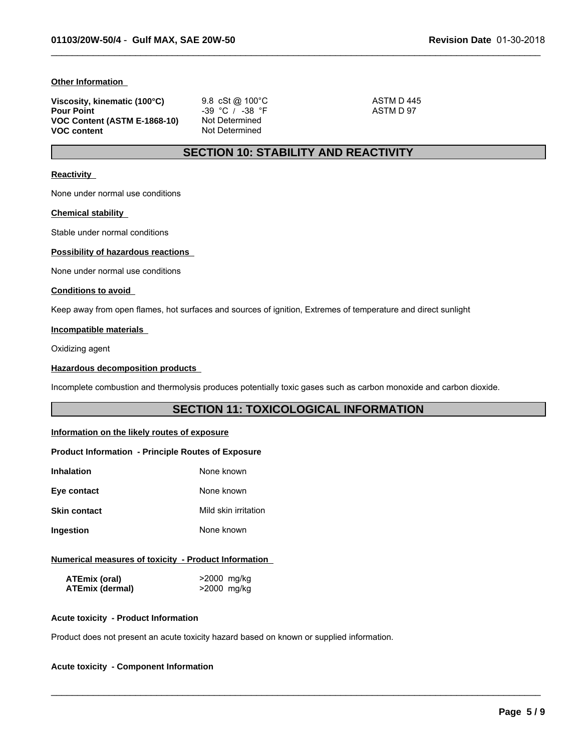#### **Other Information**

| Viscosity, kinematic (100°C) | 9.8 cSt @ $100^{\circ}$ C | ASTM D445 |
|------------------------------|---------------------------|-----------|
| <b>Pour Point</b>            | $-39$ °C / $-38$ °F       | ASTM D 97 |
| VOC Content (ASTM E-1868-10) | Not Determined            |           |
| <b>VOC content</b>           | Not Determined            |           |

# **SECTION 10: STABILITY AND REACTIVITY**

 $\_$  ,  $\_$  ,  $\_$  ,  $\_$  ,  $\_$  ,  $\_$  ,  $\_$  ,  $\_$  ,  $\_$  ,  $\_$  ,  $\_$  ,  $\_$  ,  $\_$  ,  $\_$  ,  $\_$  ,  $\_$  ,  $\_$  ,  $\_$  ,  $\_$  ,  $\_$  ,  $\_$  ,  $\_$  ,  $\_$  ,  $\_$  ,  $\_$  ,  $\_$  ,  $\_$  ,  $\_$  ,  $\_$  ,  $\_$  ,  $\_$  ,  $\_$  ,  $\_$  ,  $\_$  ,  $\_$  ,  $\_$  ,  $\_$  ,

#### **Reactivity**

None under normal use conditions

#### **Chemical stability**

Stable under normal conditions

#### **Possibility of hazardous reactions**

None under normal use conditions

#### **Conditions to avoid**

Keep away from open flames, hot surfaces and sources of ignition, Extremes of temperature and direct sunlight

#### **Incompatible materials**

Oxidizing agent

#### **Hazardous decomposition products**

Incomplete combustion and thermolysis produces potentially toxic gases such as carbon monoxide and carbon dioxide.

# **SECTION 11: TOXICOLOGICAL INFORMATION**

 $\_$  ,  $\_$  ,  $\_$  ,  $\_$  ,  $\_$  ,  $\_$  ,  $\_$  ,  $\_$  ,  $\_$  ,  $\_$  ,  $\_$  ,  $\_$  ,  $\_$  ,  $\_$  ,  $\_$  ,  $\_$  ,  $\_$  ,  $\_$  ,  $\_$  ,  $\_$  ,  $\_$  ,  $\_$  ,  $\_$  ,  $\_$  ,  $\_$  ,  $\_$  ,  $\_$  ,  $\_$  ,  $\_$  ,  $\_$  ,  $\_$  ,  $\_$  ,  $\_$  ,  $\_$  ,  $\_$  ,  $\_$  ,  $\_$  ,

#### **Information on the likely routes of exposure**

#### **Product Information - Principle Routes of Exposure**

| <b>Inhalation</b>   | None known           |
|---------------------|----------------------|
| Eye contact         | None known           |
| <b>Skin contact</b> | Mild skin irritation |
| Ingestion           | None known           |

#### **Numerical measures of toxicity - Product Information**

| ATEmix (oral)          | >2000 mg/kg |
|------------------------|-------------|
| <b>ATEmix (dermal)</b> | >2000 mg/kg |

#### **Acute toxicity - Product Information**

Product does not present an acute toxicity hazard based on known or supplied information.

#### **Acute toxicity - Component Information**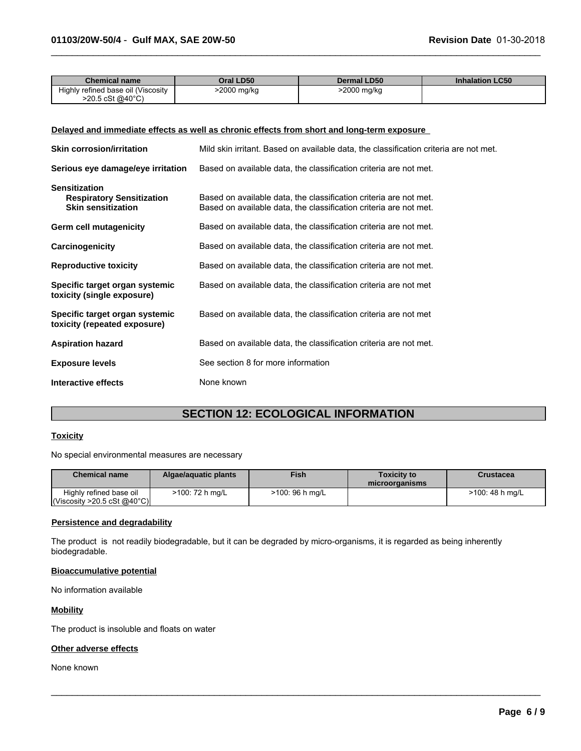| Chemical name                      | Oral LD50   | <b>Dermal LD50</b> | <b>Inhalation LC50</b> |
|------------------------------------|-------------|--------------------|------------------------|
| Highly refined base oil (Viscosity | >2000 mg/kg | 2000 mg/kg         |                        |
| >20.5 cSt @40°C)                   |             |                    |                        |

 $\_$  ,  $\_$  ,  $\_$  ,  $\_$  ,  $\_$  ,  $\_$  ,  $\_$  ,  $\_$  ,  $\_$  ,  $\_$  ,  $\_$  ,  $\_$  ,  $\_$  ,  $\_$  ,  $\_$  ,  $\_$  ,  $\_$  ,  $\_$  ,  $\_$  ,  $\_$  ,  $\_$  ,  $\_$  ,  $\_$  ,  $\_$  ,  $\_$  ,  $\_$  ,  $\_$  ,  $\_$  ,  $\_$  ,  $\_$  ,  $\_$  ,  $\_$  ,  $\_$  ,  $\_$  ,  $\_$  ,  $\_$  ,  $\_$  ,

#### **Delayed and immediate effects as well as chronic effects from short and long-term exposure**

| <b>Skin corrosion/irritation</b>                                                      | Mild skin irritant. Based on available data, the classification criteria are not met.                                                  |
|---------------------------------------------------------------------------------------|----------------------------------------------------------------------------------------------------------------------------------------|
| Serious eye damage/eye irritation                                                     | Based on available data, the classification criteria are not met.                                                                      |
| <b>Sensitization</b><br><b>Respiratory Sensitization</b><br><b>Skin sensitization</b> | Based on available data, the classification criteria are not met.<br>Based on available data, the classification criteria are not met. |
| Germ cell mutagenicity                                                                | Based on available data, the classification criteria are not met.                                                                      |
| Carcinogenicity                                                                       | Based on available data, the classification criteria are not met.                                                                      |
| <b>Reproductive toxicity</b>                                                          | Based on available data, the classification criteria are not met.                                                                      |
| Specific target organ systemic<br>toxicity (single exposure)                          | Based on available data, the classification criteria are not met                                                                       |
| Specific target organ systemic<br>toxicity (repeated exposure)                        | Based on available data, the classification criteria are not met                                                                       |
| <b>Aspiration hazard</b>                                                              | Based on available data, the classification criteria are not met.                                                                      |
| <b>Exposure levels</b>                                                                | See section 8 for more information                                                                                                     |
| Interactive effects                                                                   | None known                                                                                                                             |

# **SECTION 12: ECOLOGICAL INFORMATION**

#### **Toxicity**

No special environmental measures are necessary

| <b>Chemical name</b>                                                   | Algae/aguatic plants | <b>Fish</b>     | <b>Toxicity to</b><br>microorganisms | Crustacea       |
|------------------------------------------------------------------------|----------------------|-----------------|--------------------------------------|-----------------|
| Highly refined base oil<br>$\vert$ (Viscosity >20.5 cSt @40°C) $\vert$ | $>100:72 h$ mg/L     | >100: 96 h mg/L |                                      | >100: 48 h mg/L |

 $\_$  ,  $\_$  ,  $\_$  ,  $\_$  ,  $\_$  ,  $\_$  ,  $\_$  ,  $\_$  ,  $\_$  ,  $\_$  ,  $\_$  ,  $\_$  ,  $\_$  ,  $\_$  ,  $\_$  ,  $\_$  ,  $\_$  ,  $\_$  ,  $\_$  ,  $\_$  ,  $\_$  ,  $\_$  ,  $\_$  ,  $\_$  ,  $\_$  ,  $\_$  ,  $\_$  ,  $\_$  ,  $\_$  ,  $\_$  ,  $\_$  ,  $\_$  ,  $\_$  ,  $\_$  ,  $\_$  ,  $\_$  ,  $\_$  ,

#### **Persistence and degradability**

The product is not readily biodegradable, but it can be degraded by micro-organisms, it is regarded as being inherently biodegradable.

#### **Bioaccumulative potential**

No information available

#### **Mobility**

The product is insoluble and floats on water

#### **Other adverse effects**

None known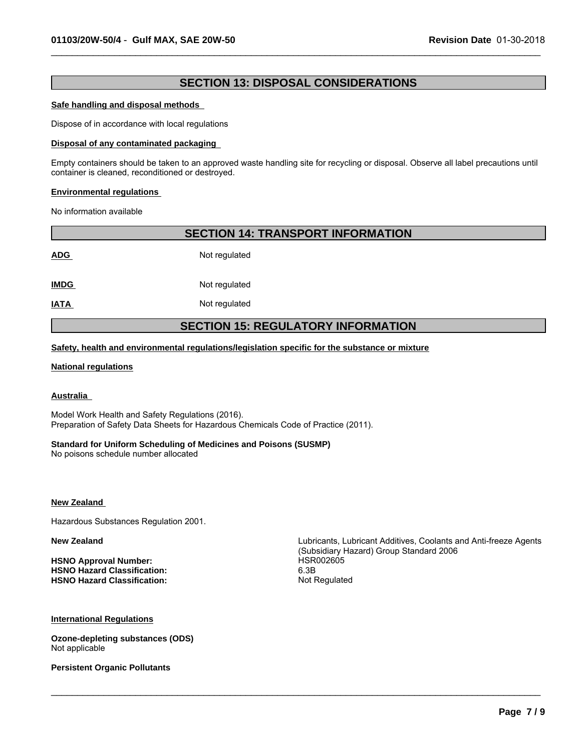# **SECTION 13: DISPOSAL CONSIDERATIONS**

 $\_$  ,  $\_$  ,  $\_$  ,  $\_$  ,  $\_$  ,  $\_$  ,  $\_$  ,  $\_$  ,  $\_$  ,  $\_$  ,  $\_$  ,  $\_$  ,  $\_$  ,  $\_$  ,  $\_$  ,  $\_$  ,  $\_$  ,  $\_$  ,  $\_$  ,  $\_$  ,  $\_$  ,  $\_$  ,  $\_$  ,  $\_$  ,  $\_$  ,  $\_$  ,  $\_$  ,  $\_$  ,  $\_$  ,  $\_$  ,  $\_$  ,  $\_$  ,  $\_$  ,  $\_$  ,  $\_$  ,  $\_$  ,  $\_$  ,

#### **Safe handling and disposal methods**

Dispose of in accordance with local regulations

#### **Disposal of any contaminated packaging**

Empty containers should be taken to an approved waste handling site for recycling or disposal. Observe all label precautions until container is cleaned, reconditioned or destroyed.

#### **Environmental regulations**

No information available

|             | <b>SECTION 14: TRANSPORT INFORMATION</b>  |
|-------------|-------------------------------------------|
| <b>ADG</b>  | Not regulated                             |
| <b>IMDG</b> | Not regulated                             |
| <b>IATA</b> | Not regulated                             |
|             | <b>SECTION 15: REGULATORY INFORMATION</b> |

**Safety, health and environmental regulations/legislation specific for the substance or mixture**

#### **National regulations**

#### **Australia**

Model Work Health and Safety Regulations (2016). Preparation of Safety Data Sheets for Hazardous Chemicals Code of Practice (2011).

#### **Standard for Uniform Scheduling of Medicines and Poisons (SUSMP)**

No poisons schedule number allocated

#### **New Zealand**

Hazardous Substances Regulation 2001.

**HSNO Approval Number:** HSR002605 **HSNO Hazard Classification: HSNO Hazard Classification:** Not Regulated

**New Zealand** Lubricants, Lubricant Additives, Coolants and Anti-freeze Agents (Subsidiary Hazard) Group Standard 2006

 $\_$  ,  $\_$  ,  $\_$  ,  $\_$  ,  $\_$  ,  $\_$  ,  $\_$  ,  $\_$  ,  $\_$  ,  $\_$  ,  $\_$  ,  $\_$  ,  $\_$  ,  $\_$  ,  $\_$  ,  $\_$  ,  $\_$  ,  $\_$  ,  $\_$  ,  $\_$  ,  $\_$  ,  $\_$  ,  $\_$  ,  $\_$  ,  $\_$  ,  $\_$  ,  $\_$  ,  $\_$  ,  $\_$  ,  $\_$  ,  $\_$  ,  $\_$  ,  $\_$  ,  $\_$  ,  $\_$  ,  $\_$  ,  $\_$  ,

**International Regulations**

**Ozone-depleting substances (ODS)** Not applicable

**Persistent Organic Pollutants**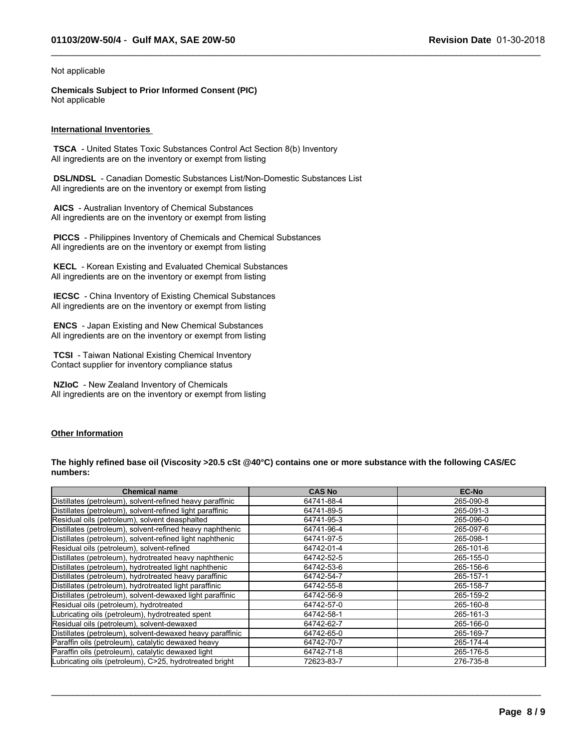$\_$  ,  $\_$  ,  $\_$  ,  $\_$  ,  $\_$  ,  $\_$  ,  $\_$  ,  $\_$  ,  $\_$  ,  $\_$  ,  $\_$  ,  $\_$  ,  $\_$  ,  $\_$  ,  $\_$  ,  $\_$  ,  $\_$  ,  $\_$  ,  $\_$  ,  $\_$  ,  $\_$  ,  $\_$  ,  $\_$  ,  $\_$  ,  $\_$  ,  $\_$  ,  $\_$  ,  $\_$  ,  $\_$  ,  $\_$  ,  $\_$  ,  $\_$  ,  $\_$  ,  $\_$  ,  $\_$  ,  $\_$  ,  $\_$  ,

#### Not applicable

**Chemicals Subject to Prior Informed Consent (PIC)** Not applicable

#### **International Inventories**

 **TSCA** - United States Toxic Substances Control Act Section 8(b) Inventory All ingredients are on the inventory or exempt from listing

 **DSL/NDSL** - Canadian Domestic Substances List/Non-Domestic Substances List All ingredients are on the inventory or exempt from listing

 **AICS** - Australian Inventory of Chemical Substances All ingredients are on the inventory or exempt from listing

 **PICCS** - Philippines Inventory of Chemicals and Chemical Substances All ingredients are on the inventory or exempt from listing

 **KECL** - Korean Existing and Evaluated Chemical Substances All ingredients are on the inventory or exempt from listing

 **IECSC** - China Inventory of Existing Chemical Substances All ingredients are on the inventory or exempt from listing

 **ENCS** - Japan Existing and New Chemical Substances All ingredients are on the inventory or exempt from listing

 **TCSI** - Taiwan National Existing Chemical Inventory Contact supplier for inventory compliance status

 **NZIoC** - New Zealand Inventory of Chemicals All ingredients are on the inventory or exempt from listing

#### **Other Information**

**The highly refined base oil (Viscosity >20.5 cSt @40°C) contains one or more substance with the following CAS/EC numbers:**

| <b>Chemical name</b>                                      | <b>CAS No</b> | <b>EC-No</b> |
|-----------------------------------------------------------|---------------|--------------|
| Distillates (petroleum), solvent-refined heavy paraffinic | 64741-88-4    | 265-090-8    |
| Distillates (petroleum), solvent-refined light paraffinic | 64741-89-5    | 265-091-3    |
| Residual oils (petroleum), solvent deasphalted            | 64741-95-3    | 265-096-0    |
| Distillates (petroleum), solvent-refined heavy naphthenic | 64741-96-4    | 265-097-6    |
| Distillates (petroleum), solvent-refined light naphthenic | 64741-97-5    | 265-098-1    |
| Residual oils (petroleum), solvent-refined                | 64742-01-4    | 265-101-6    |
| Distillates (petroleum), hydrotreated heavy naphthenic    | 64742-52-5    | 265-155-0    |
| Distillates (petroleum), hydrotreated light naphthenic    | 64742-53-6    | 265-156-6    |
| Distillates (petroleum), hydrotreated heavy paraffinic    | 64742-54-7    | 265-157-1    |
| Distillates (petroleum), hydrotreated light paraffinic    | 64742-55-8    | 265-158-7    |
| Distillates (petroleum), solvent-dewaxed light paraffinic | 64742-56-9    | 265-159-2    |
| Residual oils (petroleum), hydrotreated                   | 64742-57-0    | 265-160-8    |
| Lubricating oils (petroleum), hydrotreated spent          | 64742-58-1    | 265-161-3    |
| Residual oils (petroleum), solvent-dewaxed                | 64742-62-7    | 265-166-0    |
| Distillates (petroleum), solvent-dewaxed heavy paraffinic | 64742-65-0    | 265-169-7    |
| Paraffin oils (petroleum), catalytic dewaxed heavy        | 64742-70-7    | 265-174-4    |
| Paraffin oils (petroleum), catalytic dewaxed light        | 64742-71-8    | 265-176-5    |
| Lubricating oils (petroleum), C>25, hydrotreated bright   | 72623-83-7    | 276-735-8    |

 $\_$  ,  $\_$  ,  $\_$  ,  $\_$  ,  $\_$  ,  $\_$  ,  $\_$  ,  $\_$  ,  $\_$  ,  $\_$  ,  $\_$  ,  $\_$  ,  $\_$  ,  $\_$  ,  $\_$  ,  $\_$  ,  $\_$  ,  $\_$  ,  $\_$  ,  $\_$  ,  $\_$  ,  $\_$  ,  $\_$  ,  $\_$  ,  $\_$  ,  $\_$  ,  $\_$  ,  $\_$  ,  $\_$  ,  $\_$  ,  $\_$  ,  $\_$  ,  $\_$  ,  $\_$  ,  $\_$  ,  $\_$  ,  $\_$  ,